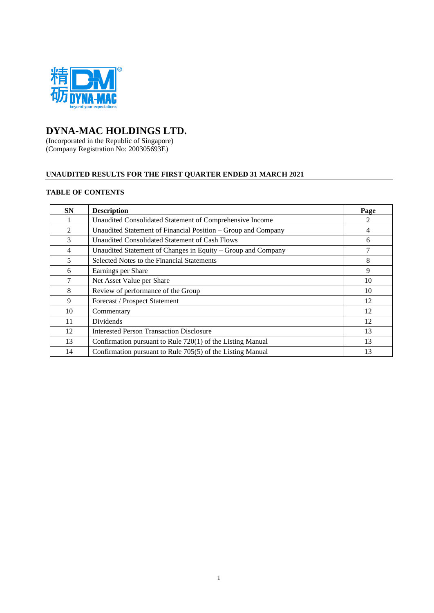

# **DYNA-MAC HOLDINGS LTD.**

(Incorporated in the Republic of Singapore) (Company Registration No: 200305693E)

# **UNAUDITED RESULTS FOR THE FIRST QUARTER ENDED 31 MARCH 2021**

# **TABLE OF CONTENTS**

| <b>SN</b> | <b>Description</b>                                            | Page           |
|-----------|---------------------------------------------------------------|----------------|
|           | Unaudited Consolidated Statement of Comprehensive Income      | $\mathfrak{D}$ |
| 2         | Unaudited Statement of Financial Position – Group and Company | 4              |
| 3         | Unaudited Consolidated Statement of Cash Flows                | 6              |
| 4         | Unaudited Statement of Changes in Equity – Group and Company  |                |
| 5         | Selected Notes to the Financial Statements                    | 8              |
| 6         | Earnings per Share                                            | 9              |
| 7         | Net Asset Value per Share                                     | 10             |
| 8         | Review of performance of the Group                            | 10             |
| 9         | Forecast / Prospect Statement                                 | 12             |
| 10        | Commentary                                                    | 12             |
| 11        | Dividends                                                     | 12             |
| 12        | <b>Interested Person Transaction Disclosure</b>               | 13             |
| 13        | Confirmation pursuant to Rule 720(1) of the Listing Manual    | 13             |
| 14        | Confirmation pursuant to Rule 705(5) of the Listing Manual    | 13             |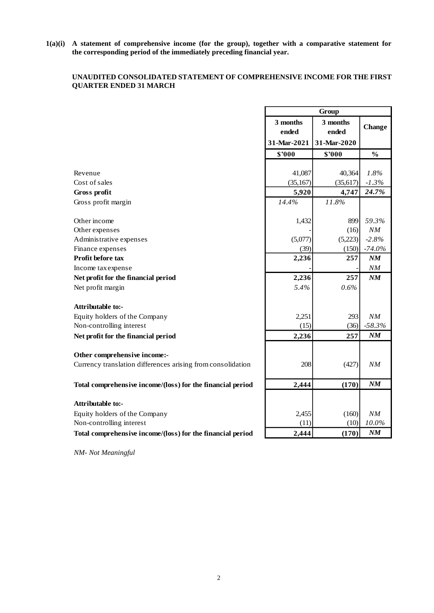**1(a)(i) A statement of comprehensive income (for the group), together with a comparative statement for the corresponding period of the immediately preceding financial year.**

# **UNAUDITED CONSOLIDATED STATEMENT OF COMPREHENSIVE INCOME FOR THE FIRST QUARTER ENDED 31 MARCH**

| 3 months<br>3 months<br><b>Change</b><br>ended<br>ended<br>31-Mar-2021<br>31-Mar-2020<br>\$'000<br>\$'000<br>$\frac{0}{0}$<br>41,087<br>40,364<br>$1.8\%$<br>Revenue<br>Cost of sales<br>$-1.3%$<br>(35, 167)<br>(35, 617)<br>24.7%<br>4,747<br>Gross profit<br>5,920<br>14.4%<br>11.8%<br>Gross profit margin<br>Other income<br>899<br>59.3%<br>1,432<br>(16)<br>NM<br>Other expenses<br>(5,223)<br>$-2.8%$<br>Administrative expenses<br>(5,077)<br>Finance expenses<br>(39)<br>(150)<br>$-74.0%$<br>2,236<br>Profit before tax<br>257<br>NM<br>Income tax expense<br>NM<br>2,236<br>Net profit for the financial period<br>257<br>$N\!M$<br>Net profit margin<br>5.4%<br>0.6%<br><b>Attributable to:-</b><br>Equity holders of the Company<br>2,251<br>293<br>NM<br>Non-controlling interest<br>$-58.3%$<br>(15)<br>(36)<br>Net profit for the financial period<br>2,236<br>NM<br>257<br>Other comprehensive income:-<br>Currency translation differences arising from consolidation<br>208<br>(427)<br>NΜ<br>NM<br>2,444<br>Total comprehensive income/(loss) for the financial period<br>(170)<br><b>Attributable to:-</b><br>2,455<br>(160)<br>Equity holders of the Company<br>NM<br>Non-controlling interest<br>(10)<br>$10.0\%$<br>(11)<br>NM<br>Total comprehensive income/(loss) for the financial period<br>2,444<br>(170) | Group |  |  |  |
|-----------------------------------------------------------------------------------------------------------------------------------------------------------------------------------------------------------------------------------------------------------------------------------------------------------------------------------------------------------------------------------------------------------------------------------------------------------------------------------------------------------------------------------------------------------------------------------------------------------------------------------------------------------------------------------------------------------------------------------------------------------------------------------------------------------------------------------------------------------------------------------------------------------------------------------------------------------------------------------------------------------------------------------------------------------------------------------------------------------------------------------------------------------------------------------------------------------------------------------------------------------------------------------------------------------------------------------------|-------|--|--|--|
|                                                                                                                                                                                                                                                                                                                                                                                                                                                                                                                                                                                                                                                                                                                                                                                                                                                                                                                                                                                                                                                                                                                                                                                                                                                                                                                                         |       |  |  |  |
|                                                                                                                                                                                                                                                                                                                                                                                                                                                                                                                                                                                                                                                                                                                                                                                                                                                                                                                                                                                                                                                                                                                                                                                                                                                                                                                                         |       |  |  |  |
|                                                                                                                                                                                                                                                                                                                                                                                                                                                                                                                                                                                                                                                                                                                                                                                                                                                                                                                                                                                                                                                                                                                                                                                                                                                                                                                                         |       |  |  |  |
|                                                                                                                                                                                                                                                                                                                                                                                                                                                                                                                                                                                                                                                                                                                                                                                                                                                                                                                                                                                                                                                                                                                                                                                                                                                                                                                                         |       |  |  |  |
|                                                                                                                                                                                                                                                                                                                                                                                                                                                                                                                                                                                                                                                                                                                                                                                                                                                                                                                                                                                                                                                                                                                                                                                                                                                                                                                                         |       |  |  |  |
|                                                                                                                                                                                                                                                                                                                                                                                                                                                                                                                                                                                                                                                                                                                                                                                                                                                                                                                                                                                                                                                                                                                                                                                                                                                                                                                                         |       |  |  |  |
|                                                                                                                                                                                                                                                                                                                                                                                                                                                                                                                                                                                                                                                                                                                                                                                                                                                                                                                                                                                                                                                                                                                                                                                                                                                                                                                                         |       |  |  |  |
|                                                                                                                                                                                                                                                                                                                                                                                                                                                                                                                                                                                                                                                                                                                                                                                                                                                                                                                                                                                                                                                                                                                                                                                                                                                                                                                                         |       |  |  |  |
|                                                                                                                                                                                                                                                                                                                                                                                                                                                                                                                                                                                                                                                                                                                                                                                                                                                                                                                                                                                                                                                                                                                                                                                                                                                                                                                                         |       |  |  |  |
|                                                                                                                                                                                                                                                                                                                                                                                                                                                                                                                                                                                                                                                                                                                                                                                                                                                                                                                                                                                                                                                                                                                                                                                                                                                                                                                                         |       |  |  |  |
|                                                                                                                                                                                                                                                                                                                                                                                                                                                                                                                                                                                                                                                                                                                                                                                                                                                                                                                                                                                                                                                                                                                                                                                                                                                                                                                                         |       |  |  |  |
|                                                                                                                                                                                                                                                                                                                                                                                                                                                                                                                                                                                                                                                                                                                                                                                                                                                                                                                                                                                                                                                                                                                                                                                                                                                                                                                                         |       |  |  |  |
|                                                                                                                                                                                                                                                                                                                                                                                                                                                                                                                                                                                                                                                                                                                                                                                                                                                                                                                                                                                                                                                                                                                                                                                                                                                                                                                                         |       |  |  |  |
|                                                                                                                                                                                                                                                                                                                                                                                                                                                                                                                                                                                                                                                                                                                                                                                                                                                                                                                                                                                                                                                                                                                                                                                                                                                                                                                                         |       |  |  |  |
|                                                                                                                                                                                                                                                                                                                                                                                                                                                                                                                                                                                                                                                                                                                                                                                                                                                                                                                                                                                                                                                                                                                                                                                                                                                                                                                                         |       |  |  |  |
|                                                                                                                                                                                                                                                                                                                                                                                                                                                                                                                                                                                                                                                                                                                                                                                                                                                                                                                                                                                                                                                                                                                                                                                                                                                                                                                                         |       |  |  |  |
|                                                                                                                                                                                                                                                                                                                                                                                                                                                                                                                                                                                                                                                                                                                                                                                                                                                                                                                                                                                                                                                                                                                                                                                                                                                                                                                                         |       |  |  |  |
|                                                                                                                                                                                                                                                                                                                                                                                                                                                                                                                                                                                                                                                                                                                                                                                                                                                                                                                                                                                                                                                                                                                                                                                                                                                                                                                                         |       |  |  |  |
|                                                                                                                                                                                                                                                                                                                                                                                                                                                                                                                                                                                                                                                                                                                                                                                                                                                                                                                                                                                                                                                                                                                                                                                                                                                                                                                                         |       |  |  |  |
|                                                                                                                                                                                                                                                                                                                                                                                                                                                                                                                                                                                                                                                                                                                                                                                                                                                                                                                                                                                                                                                                                                                                                                                                                                                                                                                                         |       |  |  |  |
|                                                                                                                                                                                                                                                                                                                                                                                                                                                                                                                                                                                                                                                                                                                                                                                                                                                                                                                                                                                                                                                                                                                                                                                                                                                                                                                                         |       |  |  |  |
|                                                                                                                                                                                                                                                                                                                                                                                                                                                                                                                                                                                                                                                                                                                                                                                                                                                                                                                                                                                                                                                                                                                                                                                                                                                                                                                                         |       |  |  |  |
|                                                                                                                                                                                                                                                                                                                                                                                                                                                                                                                                                                                                                                                                                                                                                                                                                                                                                                                                                                                                                                                                                                                                                                                                                                                                                                                                         |       |  |  |  |
|                                                                                                                                                                                                                                                                                                                                                                                                                                                                                                                                                                                                                                                                                                                                                                                                                                                                                                                                                                                                                                                                                                                                                                                                                                                                                                                                         |       |  |  |  |
|                                                                                                                                                                                                                                                                                                                                                                                                                                                                                                                                                                                                                                                                                                                                                                                                                                                                                                                                                                                                                                                                                                                                                                                                                                                                                                                                         |       |  |  |  |
|                                                                                                                                                                                                                                                                                                                                                                                                                                                                                                                                                                                                                                                                                                                                                                                                                                                                                                                                                                                                                                                                                                                                                                                                                                                                                                                                         |       |  |  |  |
|                                                                                                                                                                                                                                                                                                                                                                                                                                                                                                                                                                                                                                                                                                                                                                                                                                                                                                                                                                                                                                                                                                                                                                                                                                                                                                                                         |       |  |  |  |
|                                                                                                                                                                                                                                                                                                                                                                                                                                                                                                                                                                                                                                                                                                                                                                                                                                                                                                                                                                                                                                                                                                                                                                                                                                                                                                                                         |       |  |  |  |
|                                                                                                                                                                                                                                                                                                                                                                                                                                                                                                                                                                                                                                                                                                                                                                                                                                                                                                                                                                                                                                                                                                                                                                                                                                                                                                                                         |       |  |  |  |
|                                                                                                                                                                                                                                                                                                                                                                                                                                                                                                                                                                                                                                                                                                                                                                                                                                                                                                                                                                                                                                                                                                                                                                                                                                                                                                                                         |       |  |  |  |
|                                                                                                                                                                                                                                                                                                                                                                                                                                                                                                                                                                                                                                                                                                                                                                                                                                                                                                                                                                                                                                                                                                                                                                                                                                                                                                                                         |       |  |  |  |
|                                                                                                                                                                                                                                                                                                                                                                                                                                                                                                                                                                                                                                                                                                                                                                                                                                                                                                                                                                                                                                                                                                                                                                                                                                                                                                                                         |       |  |  |  |

*NM- Not Meaningful*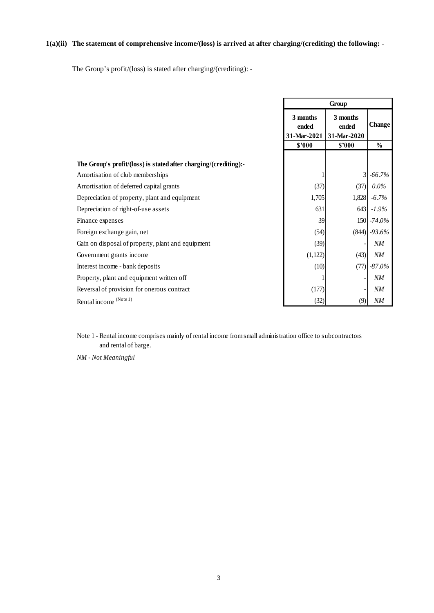# **1(a)(ii) The statement of comprehensive income/(loss) is arrived at after charging/(crediting) the following: -**

The Group's profit/(loss) is stated after charging/(crediting): -

|                                                                  | Group                            |                                  |                |
|------------------------------------------------------------------|----------------------------------|----------------------------------|----------------|
|                                                                  | 3 months<br>ended<br>31-Mar-2021 | 3 months<br>ended<br>31-Mar-2020 | <b>Change</b>  |
|                                                                  | \$'000                           | \$'000                           | $\frac{0}{0}$  |
| The Group's profit/(loss) is stated after charging/(crediting):- |                                  |                                  |                |
| Amortisation of club memberships                                 |                                  |                                  | -66.7%         |
| Amortisation of deferred capital grants                          | (37)                             | (37)                             | $0.0\%$        |
| Depreciation of property, plant and equipment                    | 1,705                            | 1,828                            | $-6.7%$        |
| Depreciation of right-of-use assets                              | 631                              | 643                              | $-1.9\%$       |
| Finance expenses                                                 | 39                               |                                  | $150 - 74.0\%$ |
| Foreign exchange gain, net                                       | (54)                             |                                  | $(844)$ -93.6% |
| Gain on disposal of property, plant and equipment                | (39)                             |                                  | NM             |
| Government grants income                                         | (1,122)                          | (43)                             | NM             |
| Interest income - bank deposits                                  | (10)                             | (77)                             | $-87.0\%$      |
| Property, plant and equipment written off                        |                                  |                                  | NM             |
| Reversal of provision for onerous contract                       | (177)                            |                                  | NM             |
| Rental income (Note 1)                                           | (32)                             | (9)                              | NM             |

Note 1 - Rental income comprises mainly of rental income from small administration office to subcontractors and rental of barge.

*NM - Not Meaningful*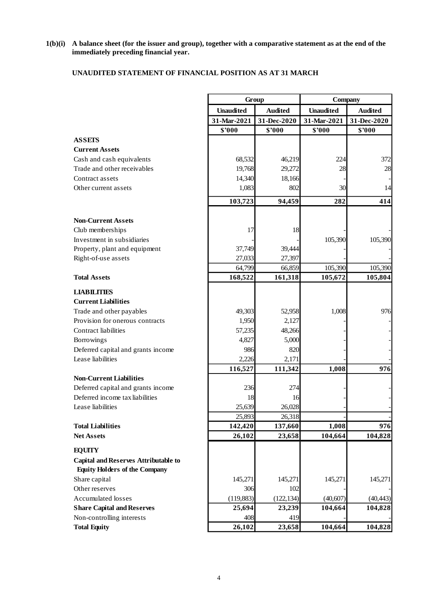#### **1(b)(i) A balance sheet (for the issuer and group), together with a comparative statement as at the end of the immediately preceding financial year.**

# **UNAUDITED STATEMENT OF FINANCIAL POSITION AS AT 31 MARCH**

|                                                                                     | Group             |                   | Company          |                |
|-------------------------------------------------------------------------------------|-------------------|-------------------|------------------|----------------|
|                                                                                     | <b>Unaudited</b>  | <b>Audited</b>    | <b>Unaudited</b> | <b>Audited</b> |
|                                                                                     | 31-Mar-2021       | 31-Dec-2020       | 31-Mar-2021      | 31-Dec-2020    |
|                                                                                     | \$'000            | \$'000            | \$'000           | \$'000         |
| <b>ASSETS</b>                                                                       |                   |                   |                  |                |
| <b>Current Assets</b>                                                               |                   |                   |                  |                |
| Cash and cash equivalents                                                           | 68,532            | 46,219            | 224              | 372            |
| Trade and other receivables                                                         | 19,768            | 29,272            | 28               | 28             |
| Contract assets                                                                     | 14,340            | 18,166            |                  |                |
| Other current assets                                                                | 1,083             | 802               | 30               | 14             |
|                                                                                     | 103,723           | 94,459            | 282              | 414            |
| <b>Non-Current Assets</b>                                                           |                   |                   |                  |                |
| Club memberships                                                                    | 17                | 18                |                  |                |
| Investment in subsidiaries                                                          |                   |                   | 105,390          | 105,390        |
| Property, plant and equipment                                                       | 37,749            | 39,444            |                  |                |
| Right-of-use assets                                                                 | 27,033            | 27,397            |                  |                |
|                                                                                     | 64,799            | 66,859            | 105,390          | 105,390        |
| <b>Total Assets</b>                                                                 | 168,522           | 161,318           | 105,672          | 105,804        |
| <b>LIABILITIES</b>                                                                  |                   |                   |                  |                |
| <b>Current Liabilities</b>                                                          |                   |                   |                  |                |
| Trade and other payables                                                            | 49,303            | 52,958            | 1,008            | 976            |
| Provision for onerous contracts                                                     | 1,950             | 2,127             |                  |                |
| Contract liabilities                                                                | 57,235            | 48,266            |                  |                |
| Borrowings                                                                          | 4,827             | 5,000             |                  |                |
| Deferred capital and grants income                                                  | 986               | 820               |                  |                |
| Lease liabilities                                                                   | 2,226             | 2,171             |                  |                |
|                                                                                     | 116,527           | 111,342           | 1,008            | 976            |
| <b>Non-Current Liabilities</b>                                                      |                   |                   |                  |                |
| Deferred capital and grants income                                                  | 236               | 274               |                  |                |
| Deferred income tax liabilities                                                     | 18                | 16                |                  |                |
| Lease liabilities                                                                   | 25,639            | 26,028            |                  |                |
| <b>Total Liabilities</b>                                                            | 25,893<br>142,420 | 26,318            |                  |                |
| <b>Net Assets</b>                                                                   | 26,102            | 137,660<br>23,658 | 1,008<br>104,664 | 976<br>104,828 |
|                                                                                     |                   |                   |                  |                |
| <b>EQUITY</b>                                                                       |                   |                   |                  |                |
| <b>Capital and Reserves Attributable to</b><br><b>Equity Holders of the Company</b> |                   |                   |                  |                |
| Share capital                                                                       | 145,271           | 145,271           | 145,271          | 145,271        |
| Other reserves                                                                      | 306               | 102               |                  |                |
| <b>Accumulated losses</b>                                                           | (119, 883)        | (122, 134)        | (40, 607)        | (40, 443)      |
| <b>Share Capital and Reserves</b>                                                   | 25,694            | 23,239            | 104,664          | 104,828        |
| Non-controlling interests                                                           | 408               | 419               |                  |                |
| <b>Total Equity</b>                                                                 | 26,102            | 23,658            | 104,664          | 104,828        |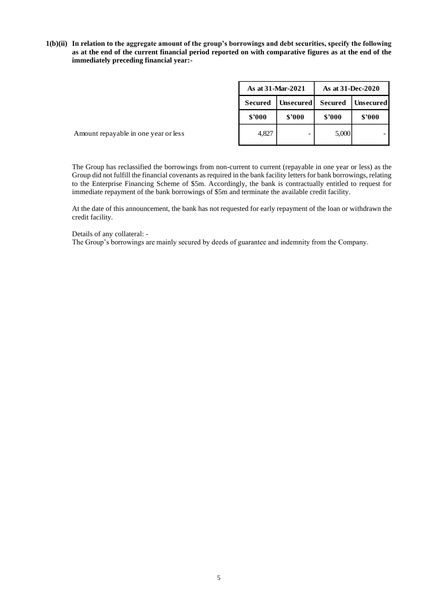**1(b)(ii) In relation to the aggregate amount of the group's borrowings and debt securities, specify the following as at the end of the current financial period reported on with comparative figures as at the end of the immediately preceding financial year:-**

|                                      | As at 31-Mar-2021 |                  | As at 31-Dec-2020 |                  |  |
|--------------------------------------|-------------------|------------------|-------------------|------------------|--|
|                                      | <b>Secured</b>    | <b>Unsecured</b> | <b>Secured</b>    | <b>Unsecured</b> |  |
|                                      | \$2000<br>\$'000  |                  | \$3000            | \$'000           |  |
| Amount repayable in one year or less | 4,827             |                  | 5,000             |                  |  |

The Group has reclassified the borrowings from non-current to current (repayable in one year or less) as the Group did not fulfill the financial covenants as required in the bank facility letters for bank borrowings, relating to the Enterprise Financing Scheme of \$5m. Accordingly, the bank is contractually entitled to request for immediate repayment of the bank borrowings of \$5m and terminate the available credit facility.

At the date of this announcement, the bank has not requested for early repayment of the loan or withdrawn the credit facility.

Details of any collateral: -

The Group's borrowings are mainly secured by deeds of guarantee and indemnity from the Company.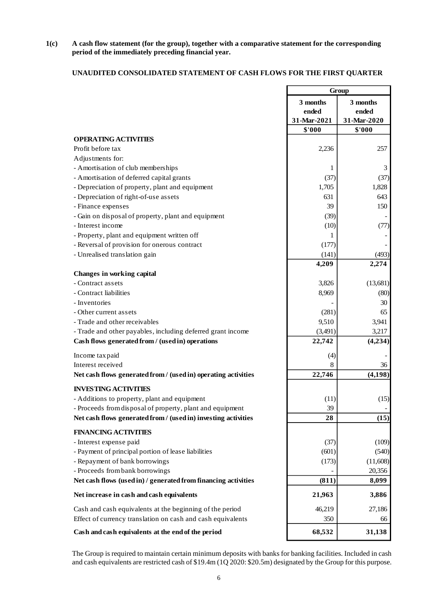**1(c) A cash flow statement (for the group), together with a comparative statement for the corresponding period of the immediately preceding financial year.**

# **UNAUDITED CONSOLIDATED STATEMENT OF CASH FLOWS FOR THE FIRST QUARTER**

|                                                                                                                                                                                                                                    | Group       |             |  |
|------------------------------------------------------------------------------------------------------------------------------------------------------------------------------------------------------------------------------------|-------------|-------------|--|
|                                                                                                                                                                                                                                    | 3 months    | 3 months    |  |
|                                                                                                                                                                                                                                    | ended       | ended       |  |
|                                                                                                                                                                                                                                    | 31-Mar-2021 | 31-Mar-2020 |  |
|                                                                                                                                                                                                                                    | \$'000      | \$'000      |  |
| <b>OPERATING ACTIVITIES</b>                                                                                                                                                                                                        |             |             |  |
| Profit before tax                                                                                                                                                                                                                  | 2,236       | 257         |  |
| Adjustments for:                                                                                                                                                                                                                   |             |             |  |
| - Amortisation of club memberships                                                                                                                                                                                                 | 1           | 3           |  |
| - Amortisation of deferred capital grants                                                                                                                                                                                          | (37)        | (37)        |  |
| - Depreciation of property, plant and equipment                                                                                                                                                                                    | 1,705       | 1,828       |  |
| - Depreciation of right-of-use assets                                                                                                                                                                                              | 631         | 643         |  |
| - Finance expenses                                                                                                                                                                                                                 | 39          | 150         |  |
| - Gain on disposal of property, plant and equipment                                                                                                                                                                                | (39)        |             |  |
| - Interest income                                                                                                                                                                                                                  | (10)        | (77)        |  |
| - Property, plant and equipment written off                                                                                                                                                                                        | 1           |             |  |
| - Reversal of provision for onerous contract                                                                                                                                                                                       | (177)       |             |  |
| - Unrealised translation gain                                                                                                                                                                                                      | (141)       | (493)       |  |
|                                                                                                                                                                                                                                    | 4,209       | 2,274       |  |
| Changes in working capital                                                                                                                                                                                                         |             |             |  |
| - Contract assets                                                                                                                                                                                                                  | 3,826       | (13, 681)   |  |
| - Contract liabilities                                                                                                                                                                                                             | 8,969       | (80)        |  |
| - Inventories                                                                                                                                                                                                                      |             | 30          |  |
| - Other current assets                                                                                                                                                                                                             | (281)       | 65          |  |
| - Trade and other receivables                                                                                                                                                                                                      | 9,510       | 3,941       |  |
| - Trade and other payables, including deferred grant income                                                                                                                                                                        | (3,491)     | 3,217       |  |
| Cash flows generated from / (used in) operations                                                                                                                                                                                   | 22,742      | (4,234)     |  |
| Income tax paid                                                                                                                                                                                                                    | (4)         |             |  |
| Interest received                                                                                                                                                                                                                  | 8           | 36          |  |
| Net cash flows generated from / (used in) operating activities                                                                                                                                                                     | 22,746      | (4, 198)    |  |
| <b>INVESTING ACTIVITIES</b>                                                                                                                                                                                                        |             |             |  |
| - Additions to property, plant and equipment                                                                                                                                                                                       | (11)        | (15)        |  |
| - Proceeds from disposal of property, plant and equipment                                                                                                                                                                          | 39          |             |  |
| Net cash flows generated from / (used in) investing activities                                                                                                                                                                     | 28          | (15)        |  |
| <b>FINANCING ACTIVITIES</b>                                                                                                                                                                                                        |             |             |  |
| - Interest expense paid                                                                                                                                                                                                            | (37)        | (109)       |  |
| - Payment of principal portion of lease liabilities                                                                                                                                                                                | (601)       | (540)       |  |
| - Repayment of bank borrowings                                                                                                                                                                                                     | (173)       | (11,608)    |  |
| - Proceeds from bank borrowings                                                                                                                                                                                                    |             | 20,356      |  |
| Net cash flows (used in) / generated from financing activities                                                                                                                                                                     | (811)       | 8,099       |  |
| Net increase in cash and cash equivalents                                                                                                                                                                                          | 21,963      | 3,886       |  |
| Cash and cash equivalents at the beginning of the period                                                                                                                                                                           | 46,219      | 27,186      |  |
| Effect of currency translation on cash and cash equivalents                                                                                                                                                                        | 350         | 66          |  |
|                                                                                                                                                                                                                                    |             |             |  |
| Cash and cash equivalents at the end of the period                                                                                                                                                                                 | 68,532      | 31,138      |  |
| The Group is required to maintain certain minimum deposits with banks for banking facilities. Included in cash<br>and cash equivalents are restricted cash of \$19.4m (1Q 2020: \$20.5m) designated by the Group for this purpose. |             |             |  |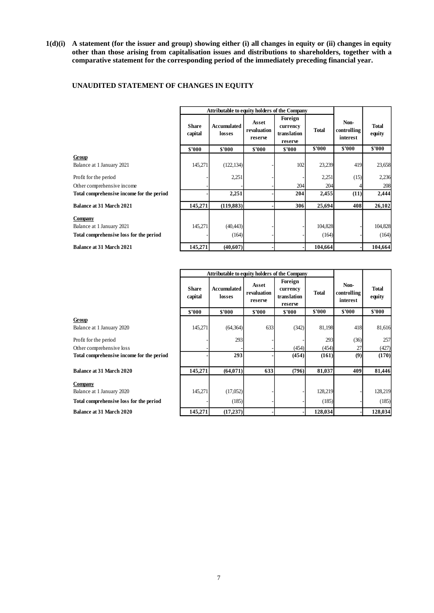**1(d)(i) A statement (for the issuer and group) showing either (i) all changes in equity or (ii) changes in equity other than those arising from capitalisation issues and distributions to shareholders, together with a comparative statement for the corresponding period of the immediately preceding financial year.**

# **UNAUDITED STATEMENT OF CHANGES IN EQUITY**

|                                           | Attributable to equity holders of the Company |                       |                                 |                                               |              |                                 |                        |
|-------------------------------------------|-----------------------------------------------|-----------------------|---------------------------------|-----------------------------------------------|--------------|---------------------------------|------------------------|
|                                           | <b>Share</b><br>capital                       | Accumulated<br>losses | Asset<br>revaluation<br>reserve | Foreign<br>currency<br>translation<br>reserve | <b>Total</b> | Non-<br>controlling<br>interest | <b>Total</b><br>equity |
|                                           | \$'000                                        | \$'000                | \$2000                          | \$2000                                        | \$'000       | \$'000                          | \$'000                 |
| Group                                     |                                               |                       |                                 |                                               |              |                                 |                        |
| Balance at 1 January 2021                 | 145,271                                       | (122, 134)            |                                 | 102                                           | 23,239       | 419                             | 23,658                 |
| Profit for the period                     |                                               | 2,251                 |                                 |                                               | 2,251        | (15)                            | 2,236                  |
| Other comprehensive income                |                                               |                       |                                 | 204                                           | 204          |                                 | 208                    |
| Total comprehensive income for the period |                                               | 2,251                 |                                 | 204                                           | 2,455        | (11)                            | 2,444                  |
| <b>Balance at 31 March 2021</b>           | 145,271                                       | (119, 883)            |                                 | 306                                           | 25,694       | 408                             | 26,102                 |
| <b>Company</b>                            |                                               |                       |                                 |                                               |              |                                 |                        |
| Balance at 1 January 2021                 | 145,271                                       | (40, 443)             |                                 |                                               | 104,828      |                                 | 104,828                |
| Total comprehensive loss for the period   |                                               | (164)                 |                                 |                                               | (164)        |                                 | (164)                  |
| <b>Balance at 31 March 2021</b>           | 145,271                                       | (40,607)              |                                 |                                               | 104.664      |                                 | 104,664                |

|                                           | Attributable to equity holders of the Company |                       |                                 |                                               |              |                                 |                        |
|-------------------------------------------|-----------------------------------------------|-----------------------|---------------------------------|-----------------------------------------------|--------------|---------------------------------|------------------------|
|                                           | <b>Share</b><br>capital                       | Accumulated<br>losses | Asset<br>revaluation<br>reserve | Foreign<br>currency<br>translation<br>reserve | <b>Total</b> | Non-<br>controlling<br>interest | <b>Total</b><br>equity |
|                                           | \$'000                                        | \$'000                | \$'000                          | \$'000                                        | \$'000       | \$'000                          | \$'000                 |
| Group                                     |                                               |                       |                                 |                                               |              |                                 |                        |
| Balance at 1 January 2020                 | 145,271                                       | (64, 364)             | 633                             | (342)                                         | 81,198       | 418                             | 81,616                 |
| Profit for the period                     |                                               | 293                   |                                 |                                               | 293          | (36)                            | 257                    |
| Other comprehensive loss                  |                                               |                       |                                 | (454)                                         | (454)        | 27                              | (427)                  |
| Total comprehensive income for the period |                                               | 293                   |                                 | (454)                                         | (161)        | (9)                             | (170)                  |
| <b>Balance at 31 March 2020</b>           | 145,271                                       | (64,071)              | 633                             | (796)                                         | 81,037       | 409                             | 81,446                 |
| Company                                   |                                               |                       |                                 |                                               |              |                                 |                        |
| Balance at 1 January 2020                 | 145,271                                       | (17,052)              |                                 |                                               | 128,219      |                                 | 128,219                |
| Total comprehensive loss for the period   |                                               | (185)                 |                                 |                                               | (185)        |                                 | (185)                  |
| <b>Balance at 31 March 2020</b>           | 145,271                                       | (17, 237)             |                                 |                                               | 128,034      |                                 | 128,034                |

7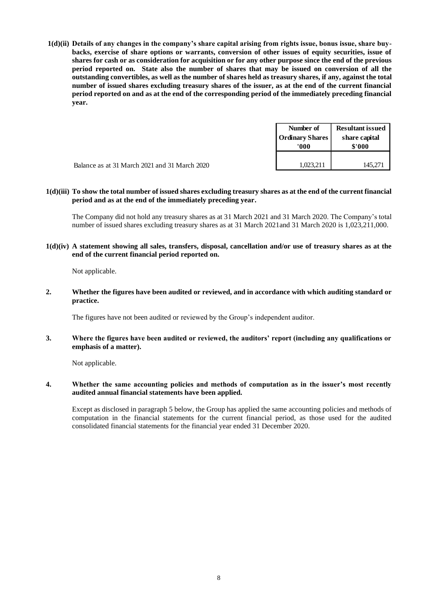**1(d)(ii) Details of any changes in the company's share capital arising from rights issue, bonus issue, share buy**backs, exercise of share options or warrants, conversion of other issues of equity securities, issue of **shares for cash or as consideration for acquisition or for any other purpose since the end of the previous period reported on. State also the number of shares that may be issued on conversion of all the outstanding convertibles, as well as the number of shares held as treasury shares, if any, against the total number of issued shares excluding treasury shares of the issuer, as at the end of the current financial period reported on and as at the end of the corresponding period of the immediately preceding financial year.**

|                                               | Number of<br><b>Ordinary Shares</b><br>'000' | <b>Resultant issued</b><br>share capital<br>\$'000 |
|-----------------------------------------------|----------------------------------------------|----------------------------------------------------|
| Balance as at 31 March 2021 and 31 March 2020 | 1.023.211                                    | 145.271                                            |

#### **1(d)(iii) To show the total number of issued shares excluding treasury shares as at the end of the current financial period and as at the end of the immediately preceding year.**

The Company did not hold any treasury shares as at 31 March 2021 and 31 March 2020. The Company's total number of issued shares excluding treasury shares as at 31 March 2021and 31 March 2020 is 1,023,211,000.

**1(d)(iv) A statement showing all sales, transfers, disposal, cancellation and/or use of treasury shares as at the end of the current financial period reported on.**

Not applicable.

**2. Whether the figures have been audited or reviewed, and in accordance with which auditing standard or practice.**

The figures have not been audited or reviewed by the Group's independent auditor.

**3. Where the figures have been audited or reviewed, the auditors' report (including any qualifications or emphasis of a matter).**

Not applicable.

#### **4. Whether the same accounting policies and methods of computation as in the issuer's most recently audited annual financial statements have been applied.**

Except as disclosed in paragraph 5 below, the Group has applied the same accounting policies and methods of computation in the financial statements for the current financial period, as those used for the audited consolidated financial statements for the financial year ended 31 December 2020.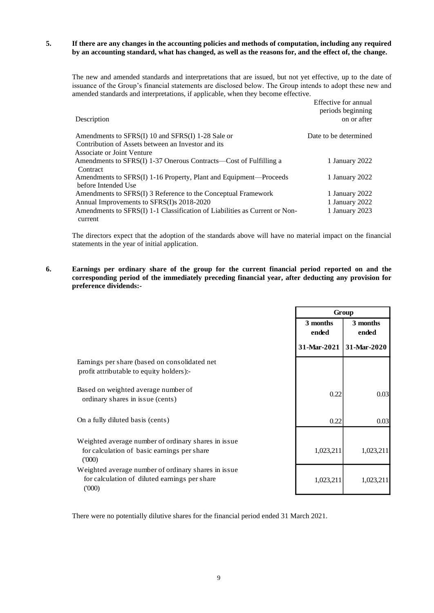## **5. If there are any changes in the accounting policies and methods of computation, including any required by an accounting standard, what has changed, as well as the reasons for, and the effect of, the change.**

The new and amended standards and interpretations that are issued, but not yet effective, up to the date of issuance of the Group's financial statements are disclosed below. The Group intends to adopt these new and amended standards and interpretations, if applicable, when they become effective.

| Description                                                                              | Effective for annual<br>periods beginning<br>on or after |
|------------------------------------------------------------------------------------------|----------------------------------------------------------|
| Amendments to SFRS(I) 10 and SFRS(I) 1-28 Sale or                                        | Date to be determined                                    |
| Contribution of Assets between an Investor and its                                       |                                                          |
| Associate or Joint Venture                                                               |                                                          |
| Amendments to SFRS(I) 1-37 Onerous Contracts—Cost of Fulfilling a                        | 1 January 2022                                           |
| Contract                                                                                 |                                                          |
| Amendments to SFRS(I) 1-16 Property, Plant and Equipment—Proceeds<br>before Intended Use | 1 January 2022                                           |
| Amendments to SFRS(I) 3 Reference to the Conceptual Framework                            | 1 January 2022                                           |
|                                                                                          |                                                          |
| Annual Improvements to SFRS(I)s 2018-2020                                                | 1 January 2022                                           |
| Amendments to SFRS(I) 1-1 Classification of Liabilities as Current or Non-               | 1 January 2023                                           |
| current                                                                                  |                                                          |

The directors expect that the adoption of the standards above will have no material impact on the financial statements in the year of initial application.

### **6. Earnings per ordinary share of the group for the current financial period reported on and the corresponding period of the immediately preceding financial year, after deducting any provision for preference dividends:-**

|                                                                                                               | Group             |                   |  |
|---------------------------------------------------------------------------------------------------------------|-------------------|-------------------|--|
|                                                                                                               | 3 months<br>ended | 3 months<br>ended |  |
|                                                                                                               | 31-Mar-2021       | 31-Mar-2020       |  |
| Earnings per share (based on consolidated net<br>profit attributable to equity holders):-                     |                   |                   |  |
| Based on weighted average number of<br>ordinary shares in issue (cents)                                       | 0.22              | 0.03              |  |
| On a fully diluted basis (cents)                                                                              | 0.22              | 0.03              |  |
| Weighted average number of ordinary shares in issue.<br>for calculation of basic earnings per share<br>(000)  | 1,023,211         | 1,023,211         |  |
| Weighted average number of ordinary shares in issue<br>for calculation of diluted earnings per share<br>(000) | 1,023,211         | 1,023,211         |  |

There were no potentially dilutive shares for the financial period ended 31 March 2021.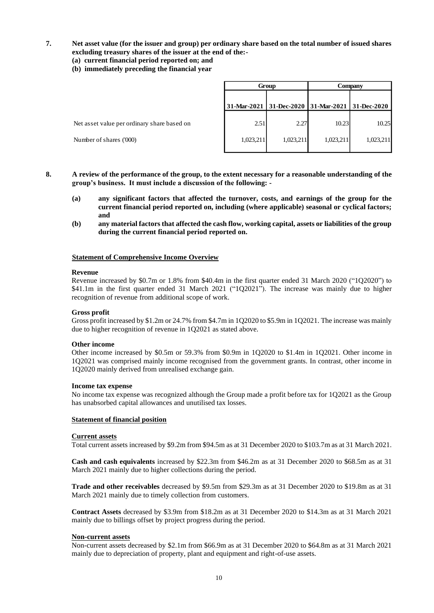# **7. Net asset value (for the issuer and group) per ordinary share based on the total number of issued shares excluding treasury shares of the issuer at the end of the:-**

- **(a) current financial period reported on; and**
- **(b) immediately preceding the financial year**

|                                             | Group     |           | Company                                         |           |
|---------------------------------------------|-----------|-----------|-------------------------------------------------|-----------|
|                                             |           |           | 31-Mar-2021 31-Dec-2020 31-Mar-2021 31-Dec-2020 |           |
| Net asset value per ordinary share based on | 2.51      | 2.27      | 10.23                                           | 10.25     |
| Number of shares ('000)                     | 1,023,211 | 1,023,211 | 1.023.211                                       | 1,023,211 |

- **8. A review of the performance of the group, to the extent necessary for a reasonable understanding of the group's business. It must include a discussion of the following: -**
	- **(a) any significant factors that affected the turnover, costs, and earnings of the group for the current financial period reported on, including (where applicable) seasonal or cyclical factors; and**
	- **(b) any material factors that affected the cash flow, working capital, assets or liabilities of the group during the current financial period reported on.**

#### **Statement of Comprehensive Income Overview**

#### **Revenue**

Revenue increased by \$0.7m or 1.8% from \$40.4m in the first quarter ended 31 March 2020 ("1Q2020") to \$41.1m in the first quarter ended 31 March 2021 ("1Q2021"). The increase was mainly due to higher recognition of revenue from additional scope of work.

#### **Gross profit**

Gross profit increased by \$1.2m or 24.7% from \$4.7m in 1Q2020 to \$5.9m in 1Q2021. The increase was mainly due to higher recognition of revenue in 1Q2021 as stated above.

#### **Other income**

Other income increased by \$0.5m or 59.3% from \$0.9m in 1Q2020 to \$1.4m in 1Q2021. Other income in 1Q2021 was comprised mainly income recognised from the government grants. In contrast, other income in 1Q2020 mainly derived from unrealised exchange gain.

#### **Income tax expense**

No income tax expense was recognized although the Group made a profit before tax for 1Q2021 as the Group has unabsorbed capital allowances and unutilised tax losses.

#### **Statement of financial position**

#### **Current assets**

Total current assets increased by \$9.2m from \$94.5m as at 31 December 2020 to \$103.7m as at 31 March 2021.

**Cash and cash equivalents** increased by \$22.3m from \$46.2m as at 31 December 2020 to \$68.5m as at 31 March 2021 mainly due to higher collections during the period.

**Trade and other receivables** decreased by \$9.5m from \$29.3m as at 31 December 2020 to \$19.8m as at 31 March 2021 mainly due to timely collection from customers.

**Contract Assets** decreased by \$3.9m from \$18.2m as at 31 December 2020 to \$14.3m as at 31 March 2021 mainly due to billings offset by project progress during the period.

#### **Non-current assets**

Non-current assets decreased by \$2.1m from \$66.9m as at 31 December 2020 to \$64.8m as at 31 March 2021 mainly due to depreciation of property, plant and equipment and right-of-use assets.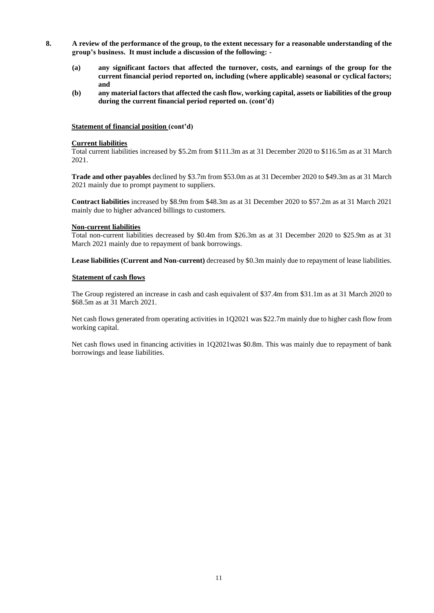- **8. A review of the performance of the group, to the extent necessary for a reasonable understanding of the group's business. It must include a discussion of the following: -**
	- **(a) any significant factors that affected the turnover, costs, and earnings of the group for the current financial period reported on, including (where applicable) seasonal or cyclical factors; and**
	- **(b) any material factors that affected the cash flow, working capital, assets or liabilities of the group during the current financial period reported on. (cont'd)**

#### **Statement of financial position (cont'd)**

# **Current liabilities**

Total current liabilities increased by \$5.2m from \$111.3m as at 31 December 2020 to \$116.5m as at 31 March 2021.

**Trade and other payables** declined by \$3.7m from \$53.0m as at 31 December 2020 to \$49.3m as at 31 March 2021 mainly due to prompt payment to suppliers.

**Contract liabilities** increased by \$8.9m from \$48.3m as at 31 December 2020 to \$57.2m as at 31 March 2021 mainly due to higher advanced billings to customers.

#### **Non-current liabilities**

Total non-current liabilities decreased by \$0.4m from \$26.3m as at 31 December 2020 to \$25.9m as at 31 March 2021 mainly due to repayment of bank borrowings.

**Lease liabilities (Current and Non-current)** decreased by \$0.3m mainly due to repayment of lease liabilities.

#### **Statement of cash flows**

The Group registered an increase in cash and cash equivalent of \$37.4m from \$31.1m as at 31 March 2020 to \$68.5m as at 31 March 2021.

Net cash flows generated from operating activities in 1Q2021 was \$22.7m mainly due to higher cash flow from working capital.

Net cash flows used in financing activities in 1Q2021was \$0.8m. This was mainly due to repayment of bank borrowings and lease liabilities.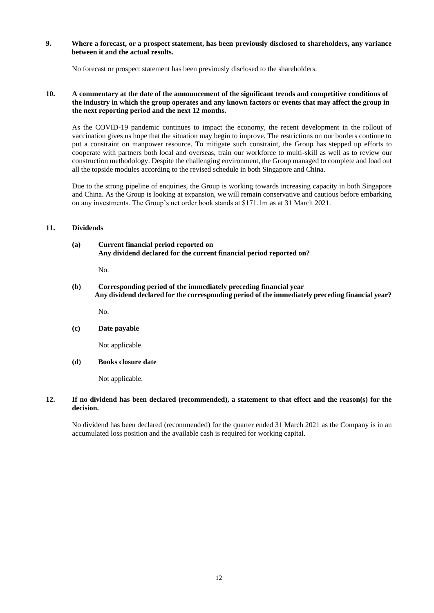## **9. Where a forecast, or a prospect statement, has been previously disclosed to shareholders, any variance between it and the actual results.**

No forecast or prospect statement has been previously disclosed to the shareholders.

#### **10. A commentary at the date of the announcement of the significant trends and competitive conditions of the industry in which the group operates and any known factors or events that may affect the group in the next reporting period and the next 12 months.**

As the COVID-19 pandemic continues to impact the economy, the recent development in the rollout of vaccination gives us hope that the situation may begin to improve. The restrictions on our borders continue to put a constraint on manpower resource. To mitigate such constraint, the Group has stepped up efforts to cooperate with partners both local and overseas, train our workforce to multi-skill as well as to review our construction methodology. Despite the challenging environment, the Group managed to complete and load out all the topside modules according to the revised schedule in both Singapore and China.

Due to the strong pipeline of enquiries, the Group is working towards increasing capacity in both Singapore and China. As the Group is looking at expansion, we will remain conservative and cautious before embarking on any investments. The Group's net order book stands at \$171.1m as at 31 March 2021.

# **11. Dividends**

#### **(a) Current financial period reported on Any dividend declared for the current financial period reported on?**

No.

**(b) Corresponding period of the immediately preceding financial year Any dividend declared for the corresponding period of the immediately preceding financial year?**

No.

## **(c) Date payable**

Not applicable.

## **(d) Books closure date**

Not applicable.

#### **12. If no dividend has been declared (recommended), a statement to that effect and the reason(s) for the decision.**

No dividend has been declared (recommended) for the quarter ended 31 March 2021 as the Company is in an accumulated loss position and the available cash is required for working capital.